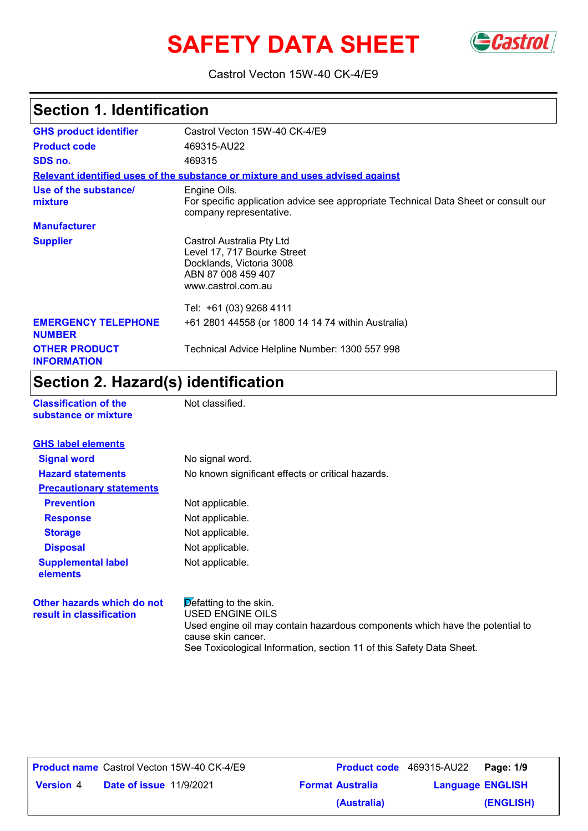# **SAFETY DATA SHEET** GCastrol



Castrol Vecton 15W-40 CK-4/E9

## **Section 1. Identification**

| <b>GHS product identifier</b>               | Castrol Vecton 15W-40 CK-4/E9                                                                                                    |
|---------------------------------------------|----------------------------------------------------------------------------------------------------------------------------------|
| <b>Product code</b>                         | 469315-AU22                                                                                                                      |
| SDS no.                                     | 469315                                                                                                                           |
|                                             | Relevant identified uses of the substance or mixture and uses advised against                                                    |
| Use of the substance/<br>mixture            | Engine Oils.<br>For specific application advice see appropriate Technical Data Sheet or consult our<br>company representative.   |
| <b>Manufacturer</b>                         |                                                                                                                                  |
| <b>Supplier</b>                             | Castrol Australia Pty Ltd<br>Level 17, 717 Bourke Street<br>Docklands, Victoria 3008<br>ABN 87 008 459 407<br>www.castrol.com.au |
|                                             | Tel: +61 (03) 9268 4111                                                                                                          |
| <b>EMERGENCY TELEPHONE</b><br><b>NUMBER</b> | +61 2801 44558 (or 1800 14 14 74 within Australia)                                                                               |
| <b>OTHER PRODUCT</b><br><b>INFORMATION</b>  | Technical Advice Helpline Number: 1300 557 998                                                                                   |

### **Section 2. Hazard(s) identification**

| <b>Classification of the</b> |  |
|------------------------------|--|
| substance or mixture         |  |

**Not classified.** 

| <b>GHS label elements</b>                              |                                                                                                                                                                         |
|--------------------------------------------------------|-------------------------------------------------------------------------------------------------------------------------------------------------------------------------|
| <b>Signal word</b>                                     | No signal word.                                                                                                                                                         |
| <b>Hazard statements</b>                               | No known significant effects or critical hazards.                                                                                                                       |
| <b>Precautionary statements</b>                        |                                                                                                                                                                         |
| <b>Prevention</b>                                      | Not applicable.                                                                                                                                                         |
| <b>Response</b>                                        | Not applicable.                                                                                                                                                         |
| <b>Storage</b>                                         | Not applicable.                                                                                                                                                         |
| <b>Disposal</b>                                        | Not applicable.                                                                                                                                                         |
| <b>Supplemental label</b><br>elements                  | Not applicable.                                                                                                                                                         |
| Other hazards which do not<br>result in classification | $\triangleright$ efatting to the skin.<br><b>USED ENGINE OILS</b><br>Used engine oil may contain hazardous components which have the potential to<br>cause skin cancer. |

See Toxicological Information, section 11 of this Safety Data Sheet.

|                  |                                | <b>Product name</b> Castrol Vecton 15W-40 CK-4/E9 |
|------------------|--------------------------------|---------------------------------------------------|
| <b>Version</b> 4 | <b>Date of issue 11/9/2021</b> |                                                   |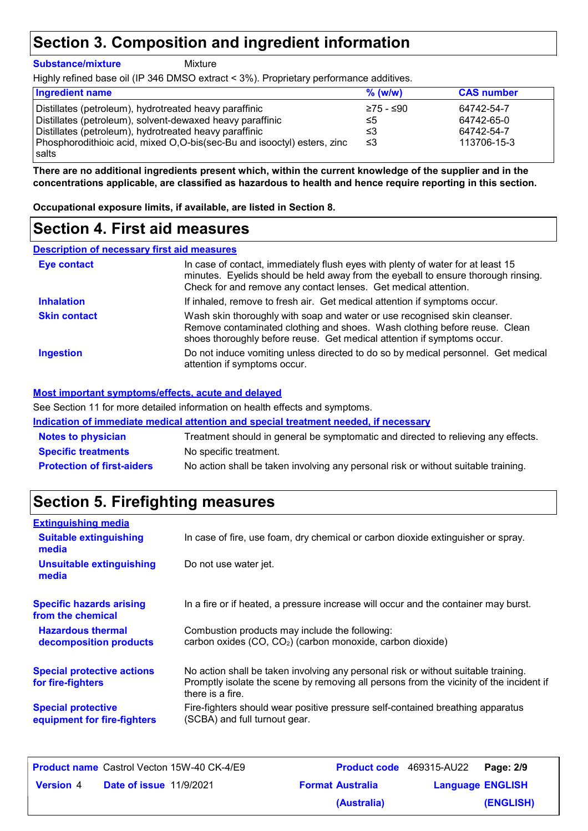### **Section 3. Composition and ingredient information**

**Substance/mixture**

**Mixture** 

Highly refined base oil (IP 346 DMSO extract < 3%). Proprietary performance additives.

| <b>Ingredient name</b>                                                  | $%$ (w/w) | <b>CAS number</b> |
|-------------------------------------------------------------------------|-----------|-------------------|
| Distillates (petroleum), hydrotreated heavy paraffinic                  | ≥75 - ≤90 | 64742-54-7        |
| Distillates (petroleum), solvent-dewaxed heavy paraffinic               | ≤5        | 64742-65-0        |
| Distillates (petroleum), hydrotreated heavy paraffinic                  | ≤3        | 64742-54-7        |
| Phosphorodithioic acid, mixed O,O-bis(sec-Bu and isooctyl) esters, zinc | ו≥ ≥      | 113706-15-3       |
| l salts                                                                 |           |                   |

**There are no additional ingredients present which, within the current knowledge of the supplier and in the concentrations applicable, are classified as hazardous to health and hence require reporting in this section.**

**Occupational exposure limits, if available, are listed in Section 8.**

### **Section 4. First aid measures**

#### **Description of necessary first aid measures**

| <b>Eye contact</b>  | In case of contact, immediately flush eyes with plenty of water for at least 15<br>minutes. Eyelids should be held away from the eyeball to ensure thorough rinsing.<br>Check for and remove any contact lenses. Get medical attention. |
|---------------------|-----------------------------------------------------------------------------------------------------------------------------------------------------------------------------------------------------------------------------------------|
| <b>Inhalation</b>   | If inhaled, remove to fresh air. Get medical attention if symptoms occur.                                                                                                                                                               |
| <b>Skin contact</b> | Wash skin thoroughly with soap and water or use recognised skin cleanser.<br>Remove contaminated clothing and shoes. Wash clothing before reuse. Clean<br>shoes thoroughly before reuse. Get medical attention if symptoms occur.       |
| <b>Ingestion</b>    | Do not induce vomiting unless directed to do so by medical personnel. Get medical<br>attention if symptoms occur.                                                                                                                       |

#### **Most important symptoms/effects, acute and delayed**

See Section 11 for more detailed information on health effects and symptoms.

**Indication of immediate medical attention and special treatment needed, if necessary**

| <b>Notes to physician</b>         | Treatment should in general be symptomatic and directed to relieving any effects.  |
|-----------------------------------|------------------------------------------------------------------------------------|
| <b>Specific treatments</b>        | No specific treatment.                                                             |
| <b>Protection of first-aiders</b> | No action shall be taken involving any personal risk or without suitable training. |

### **Section 5. Firefighting measures**

| <b>Extinguishing media</b>                               |                                                                                                                                                                                                   |
|----------------------------------------------------------|---------------------------------------------------------------------------------------------------------------------------------------------------------------------------------------------------|
| <b>Suitable extinguishing</b><br>media                   | In case of fire, use foam, dry chemical or carbon dioxide extinguisher or spray.                                                                                                                  |
| <b>Unsuitable extinguishing</b><br>media                 | Do not use water jet.                                                                                                                                                                             |
| <b>Specific hazards arising</b><br>from the chemical     | In a fire or if heated, a pressure increase will occur and the container may burst.                                                                                                               |
| <b>Hazardous thermal</b><br>decomposition products       | Combustion products may include the following:<br>carbon oxides (CO, CO <sub>2</sub> ) (carbon monoxide, carbon dioxide)                                                                          |
| <b>Special protective actions</b><br>for fire-fighters   | No action shall be taken involving any personal risk or without suitable training.<br>Promptly isolate the scene by removing all persons from the vicinity of the incident if<br>there is a fire. |
| <b>Special protective</b><br>equipment for fire-fighters | Fire-fighters should wear positive pressure self-contained breathing apparatus<br>(SCBA) and full turnout gear.                                                                                   |

|                  |                                | <b>Product name</b> Castrol Vecton 15W-40 CK-4/E9 | <b>Product code</b> 469315-AU22 |                         | Page: 2/9 |
|------------------|--------------------------------|---------------------------------------------------|---------------------------------|-------------------------|-----------|
| <b>Version</b> 4 | <b>Date of issue 11/9/2021</b> |                                                   | <b>Format Australia</b>         | <b>Language ENGLISH</b> |           |
|                  |                                |                                                   | (Australia)                     |                         | (ENGLISH) |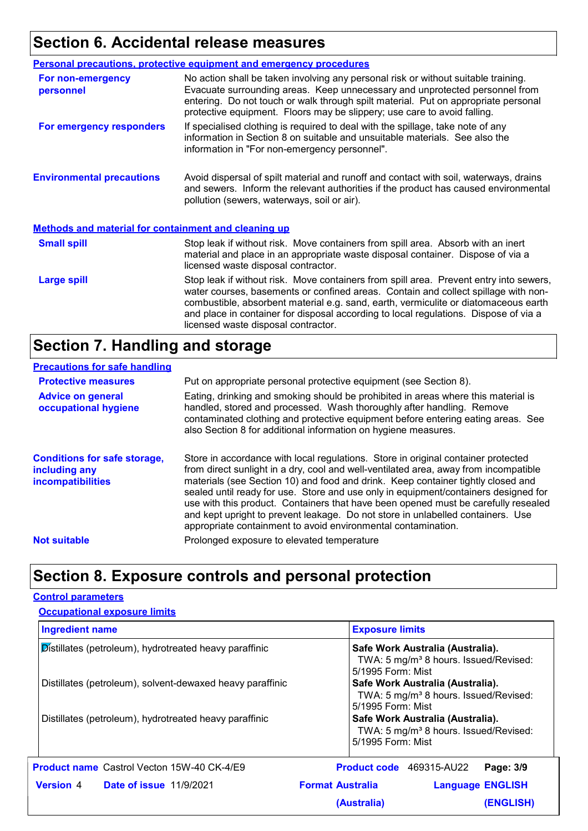# **Section 6. Accidental release measures**

|                                                             | <b>Personal precautions, protective equipment and emergency procedures</b>                                                                                                                                                                                                                                                                                                                         |
|-------------------------------------------------------------|----------------------------------------------------------------------------------------------------------------------------------------------------------------------------------------------------------------------------------------------------------------------------------------------------------------------------------------------------------------------------------------------------|
| For non-emergency<br>personnel                              | No action shall be taken involving any personal risk or without suitable training.<br>Evacuate surrounding areas. Keep unnecessary and unprotected personnel from<br>entering. Do not touch or walk through spilt material. Put on appropriate personal<br>protective equipment. Floors may be slippery; use care to avoid falling.                                                                |
| For emergency responders                                    | If specialised clothing is required to deal with the spillage, take note of any<br>information in Section 8 on suitable and unsuitable materials. See also the<br>information in "For non-emergency personnel".                                                                                                                                                                                    |
| <b>Environmental precautions</b>                            | Avoid dispersal of spilt material and runoff and contact with soil, waterways, drains<br>and sewers. Inform the relevant authorities if the product has caused environmental<br>pollution (sewers, waterways, soil or air).                                                                                                                                                                        |
| <b>Methods and material for containment and cleaning up</b> |                                                                                                                                                                                                                                                                                                                                                                                                    |
| <b>Small spill</b>                                          | Stop leak if without risk. Move containers from spill area. Absorb with an inert<br>material and place in an appropriate waste disposal container. Dispose of via a<br>licensed waste disposal contractor.                                                                                                                                                                                         |
| <b>Large spill</b>                                          | Stop leak if without risk. Move containers from spill area. Prevent entry into sewers,<br>water courses, basements or confined areas. Contain and collect spillage with non-<br>combustible, absorbent material e.g. sand, earth, vermiculite or diatomaceous earth<br>and place in container for disposal according to local regulations. Dispose of via a<br>licensed waste disposal contractor. |

## **Section 7. Handling and storage**

#### **Precautions for safe handling**

| <b>Protective measures</b>                                                       | Put on appropriate personal protective equipment (see Section 8).                                                                                                                                                                                                                                                                                                                                                                                                                                                                                                                              |
|----------------------------------------------------------------------------------|------------------------------------------------------------------------------------------------------------------------------------------------------------------------------------------------------------------------------------------------------------------------------------------------------------------------------------------------------------------------------------------------------------------------------------------------------------------------------------------------------------------------------------------------------------------------------------------------|
| <b>Advice on general</b><br>occupational hygiene                                 | Eating, drinking and smoking should be prohibited in areas where this material is<br>handled, stored and processed. Wash thoroughly after handling. Remove<br>contaminated clothing and protective equipment before entering eating areas. See<br>also Section 8 for additional information on hygiene measures.                                                                                                                                                                                                                                                                               |
| <b>Conditions for safe storage,</b><br>including any<br><b>incompatibilities</b> | Store in accordance with local regulations. Store in original container protected<br>from direct sunlight in a dry, cool and well-ventilated area, away from incompatible<br>materials (see Section 10) and food and drink. Keep container tightly closed and<br>sealed until ready for use. Store and use only in equipment/containers designed for<br>use with this product. Containers that have been opened must be carefully resealed<br>and kept upright to prevent leakage. Do not store in unlabelled containers. Use<br>appropriate containment to avoid environmental contamination. |
| <b>Not suitable</b>                                                              | Prolonged exposure to elevated temperature                                                                                                                                                                                                                                                                                                                                                                                                                                                                                                                                                     |
|                                                                                  |                                                                                                                                                                                                                                                                                                                                                                                                                                                                                                                                                                                                |

### **Section 8. Exposure controls and personal protection**

#### **Control parameters**

| <b>Occupational exposure limits</b>                       |                                                                                                            |  |
|-----------------------------------------------------------|------------------------------------------------------------------------------------------------------------|--|
| <b>Ingredient name</b>                                    | <b>Exposure limits</b>                                                                                     |  |
| Distillates (petroleum), hydrotreated heavy paraffinic    | Safe Work Australia (Australia).<br>TWA: 5 mg/m <sup>3</sup> 8 hours. Issued/Revised:<br>5/1995 Form: Mist |  |
| Distillates (petroleum), solvent-dewaxed heavy paraffinic | Safe Work Australia (Australia).<br>TWA: 5 mg/m <sup>3</sup> 8 hours. Issued/Revised:<br>5/1995 Form: Mist |  |
| Distillates (petroleum), hydrotreated heavy paraffinic    | Safe Work Australia (Australia).<br>TWA: 5 mg/m <sup>3</sup> 8 hours. Issued/Revised:<br>5/1995 Form: Mist |  |
| <b>Product name</b> Castrol Vecton 15W-40 CK-4/E9         | Product code 469315-AU22<br>Page: 3/9                                                                      |  |
| <b>Version 4 Date of issue 11/9/2021</b>                  | <b>Format Australia</b><br><b>Language ENGLISH</b>                                                         |  |
|                                                           | (ENGLISH)<br>(Australia)                                                                                   |  |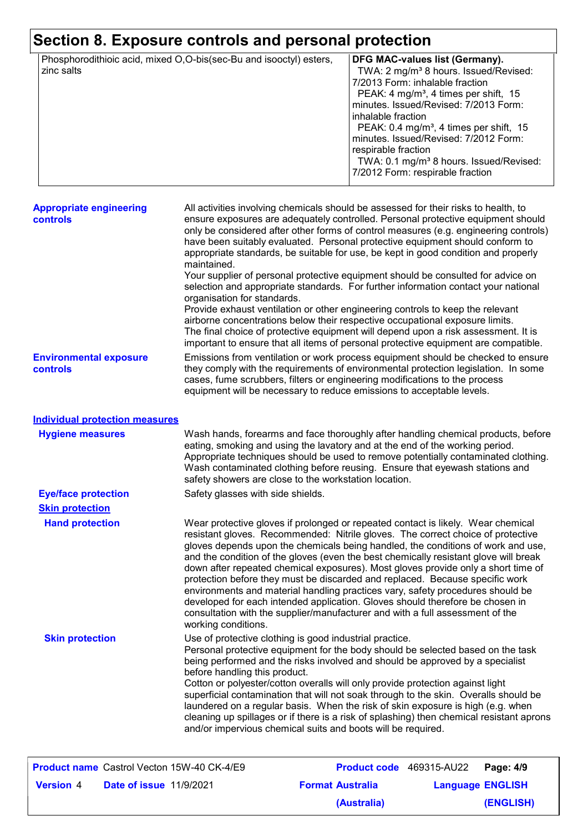### **Section 8. Exposure controls and personal protection**

| Phosphorodithioic acid, mixed O,O-bis(sec-Bu and isooctyl) esters, | <b>DFG MAC-values list (Germany).</b>               |
|--------------------------------------------------------------------|-----------------------------------------------------|
| zinc salts                                                         | TWA: 2 mg/m <sup>3</sup> 8 hours. Issued/Revised:   |
|                                                                    | 7/2013 Form: inhalable fraction                     |
|                                                                    | PEAK: 4 mg/m <sup>3</sup> , 4 times per shift, 15   |
|                                                                    | minutes. Issued/Revised: 7/2013 Form:               |
|                                                                    | inhalable fraction                                  |
|                                                                    | PEAK: 0.4 mg/m <sup>3</sup> , 4 times per shift, 15 |
|                                                                    | minutes. Issued/Revised: 7/2012 Form:               |
|                                                                    | respirable fraction                                 |
|                                                                    | TWA: 0.1 mg/m <sup>3</sup> 8 hours. Issued/Revised: |
|                                                                    | 7/2012 Form: respirable fraction                    |
|                                                                    |                                                     |

| <b>Appropriate engineering</b><br><b>controls</b> | All activities involving chemicals should be assessed for their risks to health, to<br>ensure exposures are adequately controlled. Personal protective equipment should<br>only be considered after other forms of control measures (e.g. engineering controls)<br>have been suitably evaluated. Personal protective equipment should conform to<br>appropriate standards, be suitable for use, be kept in good condition and properly<br>maintained.                                                                                                |
|---------------------------------------------------|------------------------------------------------------------------------------------------------------------------------------------------------------------------------------------------------------------------------------------------------------------------------------------------------------------------------------------------------------------------------------------------------------------------------------------------------------------------------------------------------------------------------------------------------------|
|                                                   | Your supplier of personal protective equipment should be consulted for advice on<br>selection and appropriate standards. For further information contact your national<br>organisation for standards.<br>Provide exhaust ventilation or other engineering controls to keep the relevant<br>airborne concentrations below their respective occupational exposure limits.<br>The final choice of protective equipment will depend upon a risk assessment. It is<br>important to ensure that all items of personal protective equipment are compatible. |
| <b>Environmental exposure</b><br><b>controls</b>  | Emissions from ventilation or work process equipment should be checked to ensure<br>they comply with the requirements of environmental protection legislation. In some<br>cases, fume scrubbers, filters or engineering modifications to the process<br>equipment will be necessary to reduce emissions to acceptable levels.                                                                                                                                                                                                                        |

#### **Hand protection** Wear protective gloves if prolonged or repeated contact is likely. Wear chemical resistant gloves. Recommended: Nitrile gloves. The correct choice of protective gloves depends upon the chemicals being handled, the conditions of work and use, and the condition of the gloves (even the best chemically resistant glove will break down after repeated chemical exposures). Most gloves provide only a short time of protection before they must be discarded and replaced. Because specific work environments and material handling practices vary, safety procedures should be developed for each intended application. Gloves should therefore be chosen in consultation with the supplier/manufacturer and with a full assessment of the working conditions. **Eye/face protection** Safety glasses with side shields. **Skin protection** Use of protective clothing is good industrial practice. Personal protective equipment for the body should be selected based on the task being performed and the risks involved and should be approved by a specialist before handling this product. Cotton or polyester/cotton overalls will only provide protection against light superficial contamination that will not soak through to the skin. Overalls should be laundered on a regular basis. When the risk of skin exposure is high (e.g. when cleaning up spillages or if there is a risk of splashing) then chemical resistant aprons and/or impervious chemical suits and boots will be required. Wash hands, forearms and face thoroughly after handling chemical products, before eating, smoking and using the lavatory and at the end of the working period. Appropriate techniques should be used to remove potentially contaminated clothing. Wash contaminated clothing before reusing. Ensure that eyewash stations and safety showers are close to the workstation location. **Hygiene measures Individual protection measures Skin protection**

|                  |                                | <b>Product name</b> Castrol Vecton 15W-40 CK-4/E9 |                         | Product code 469315-AU22 Page: 4/9 |           |
|------------------|--------------------------------|---------------------------------------------------|-------------------------|------------------------------------|-----------|
| <b>Version</b> 4 | <b>Date of issue 11/9/2021</b> |                                                   | <b>Format Australia</b> | <b>Language ENGLISH</b>            |           |
|                  |                                |                                                   | (Australia)             |                                    | (ENGLISH) |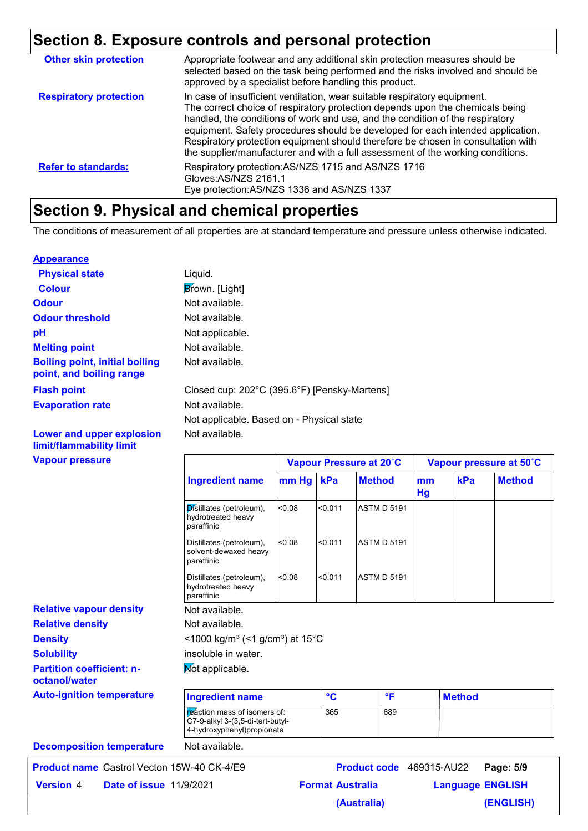### **Section 8. Exposure controls and personal protection**

| <b>Other skin protection</b>  | Appropriate footwear and any additional skin protection measures should be<br>selected based on the task being performed and the risks involved and should be<br>approved by a specialist before handling this product.                                                                                                                                                                                                                                                                               |
|-------------------------------|-------------------------------------------------------------------------------------------------------------------------------------------------------------------------------------------------------------------------------------------------------------------------------------------------------------------------------------------------------------------------------------------------------------------------------------------------------------------------------------------------------|
| <b>Respiratory protection</b> | In case of insufficient ventilation, wear suitable respiratory equipment.<br>The correct choice of respiratory protection depends upon the chemicals being<br>handled, the conditions of work and use, and the condition of the respiratory<br>equipment. Safety procedures should be developed for each intended application.<br>Respiratory protection equipment should therefore be chosen in consultation with<br>the supplier/manufacturer and with a full assessment of the working conditions. |
| <b>Refer to standards:</b>    | Respiratory protection: AS/NZS 1715 and AS/NZS 1716<br>Gloves: AS/NZS 2161.1<br>Eye protection: AS/NZS 1336 and AS/NZS 1337                                                                                                                                                                                                                                                                                                                                                                           |
|                               |                                                                                                                                                                                                                                                                                                                                                                                                                                                                                                       |

### **Section 9. Physical and chemical properties**

The conditions of measurement of all properties are at standard temperature and pressure unless otherwise indicated.

#### **Appearance**

**limit/flammability limit**

| <b>Physical state</b>                                             | Liauid.                                      |
|-------------------------------------------------------------------|----------------------------------------------|
| <b>Colour</b>                                                     | Brown. [Light]                               |
| <b>Odour</b>                                                      | Not available.                               |
| <b>Odour threshold</b>                                            | Not available.                               |
| рH                                                                | Not applicable.                              |
| <b>Melting point</b>                                              | Not available.                               |
| <b>Boiling point, initial boiling</b><br>point, and boiling range | Not available.                               |
| <b>Flash point</b>                                                | Closed cup: 202°C (395.6°F) [Pensky-Martens] |
| <b>Evaporation rate</b>                                           | Not available.                               |
|                                                                   | Not applicable. Based on - Physical state    |
| Lower and upper explosion                                         | Not available.                               |

#### **Vapour pressure Relative density Solubility** Not available. **Auto-ignition temperature Not applicable. Partition coefficient: noctanol/water Decomposition temperature** Not available.  $<$ 1000 kg/m<sup>3</sup> (<1 g/cm<sup>3</sup>) at 15°C insoluble in water. Not available. **Density Ingredient name Vapour Pressure at 20˚C Vapour pressure at 50˚C mm Hg kPa Method mm kPa Hg Method**  $\overline{\mathsf{p}}$  stillates (petroleum),  $\vert$  <0.08 hydrotreated heavy paraffinic  $< 0.011$  ASTM D 5191 Distillates (petroleum), <0.08 solvent-dewaxed heavy paraffinic <0.08 <0.011 ASTM D 5191 Distillates (petroleum), <0.08 hydrotreated heavy paraffinic  $< 0.011$  ASTM D 5191 **Ingredient name °C °F Method** reaction mass of isomers of: C7-9-alkyl 3-(3,5-di-tert-butyl-4-hydroxyphenyl)propionate 365 689 **Relative vapour density**

**Product name** Castrol Vecton 15W-40 CK-4/E9 **Product code 469315-AU22 Page: 5/9 Date of issue Version** 4 **Format Australia Language** 11/9/2021**Language ENGLISH (ENGLISH)** Product code 469315-AU22 Page **(Australia)**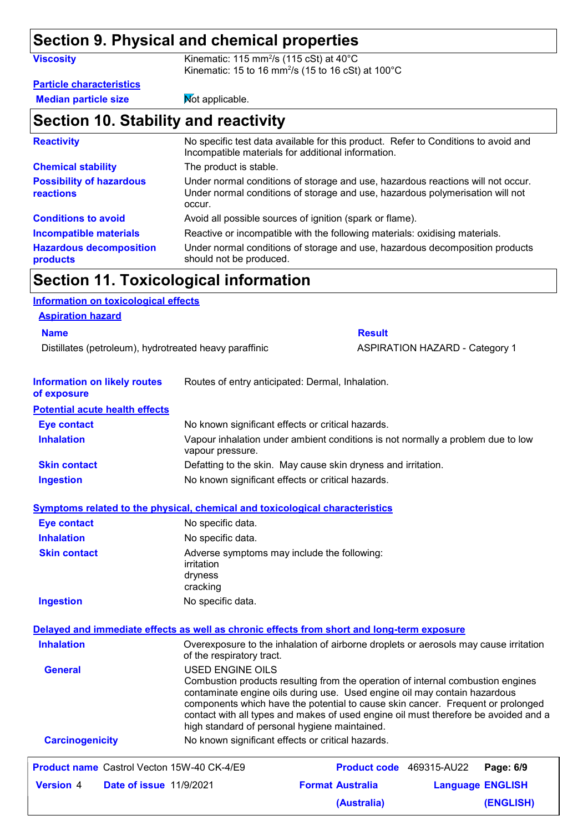# **Section 9. Physical and chemical properties**

| <b>Viscosity</b>                                    | Kinematic: 115 mm <sup>2</sup> /s (115 cSt) at $40^{\circ}$ C<br>Kinematic: 15 to 16 mm <sup>2</sup> /s (15 to 16 cSt) at 100 $^{\circ}$ C                                 |
|-----------------------------------------------------|----------------------------------------------------------------------------------------------------------------------------------------------------------------------------|
| <b>Particle characteristics</b>                     |                                                                                                                                                                            |
| <b>Median particle size</b>                         | Mot applicable.                                                                                                                                                            |
| Section 10. Stability and reactivity                |                                                                                                                                                                            |
| <b>Reactivity</b>                                   | No specific test data available for this product. Refer to Conditions to avoid and<br>Incompatible materials for additional information.                                   |
| <b>Chemical stability</b>                           | The product is stable.                                                                                                                                                     |
| <b>Possibility of hazardous</b><br><b>reactions</b> | Under normal conditions of storage and use, hazardous reactions will not occur.<br>Under normal conditions of storage and use, hazardous polymerisation will not<br>occur. |
| <b>Conditions to avoid</b>                          | Avoid all possible sources of ignition (spark or flame).                                                                                                                   |
| Incompatible materials                              | Reactive or incompatible with the following materials: oxidising materials.                                                                                                |
| <b>Hazardous decomposition</b><br>products          | Under normal conditions of storage and use, hazardous decomposition products<br>should not be produced.                                                                    |

# **Section 11. Toxicological information**

| <b>Information on toxicological effects</b>                                                |                                          |                                                                                                                                                                                                                                                                                                                                                                                         |                                       |                         |
|--------------------------------------------------------------------------------------------|------------------------------------------|-----------------------------------------------------------------------------------------------------------------------------------------------------------------------------------------------------------------------------------------------------------------------------------------------------------------------------------------------------------------------------------------|---------------------------------------|-------------------------|
| <b>Aspiration hazard</b>                                                                   |                                          |                                                                                                                                                                                                                                                                                                                                                                                         |                                       |                         |
| <b>Name</b>                                                                                |                                          | <b>Result</b>                                                                                                                                                                                                                                                                                                                                                                           |                                       |                         |
| Distillates (petroleum), hydrotreated heavy paraffinic                                     |                                          |                                                                                                                                                                                                                                                                                                                                                                                         | <b>ASPIRATION HAZARD - Category 1</b> |                         |
| <b>Information on likely routes</b><br>of exposure                                         |                                          | Routes of entry anticipated: Dermal, Inhalation.                                                                                                                                                                                                                                                                                                                                        |                                       |                         |
| <b>Potential acute health effects</b>                                                      |                                          |                                                                                                                                                                                                                                                                                                                                                                                         |                                       |                         |
| <b>Eye contact</b>                                                                         |                                          | No known significant effects or critical hazards.                                                                                                                                                                                                                                                                                                                                       |                                       |                         |
| <b>Inhalation</b>                                                                          | vapour pressure.                         | Vapour inhalation under ambient conditions is not normally a problem due to low                                                                                                                                                                                                                                                                                                         |                                       |                         |
| <b>Skin contact</b>                                                                        |                                          | Defatting to the skin. May cause skin dryness and irritation.                                                                                                                                                                                                                                                                                                                           |                                       |                         |
| <b>Ingestion</b>                                                                           |                                          | No known significant effects or critical hazards.                                                                                                                                                                                                                                                                                                                                       |                                       |                         |
| Symptoms related to the physical, chemical and toxicological characteristics               |                                          |                                                                                                                                                                                                                                                                                                                                                                                         |                                       |                         |
| <b>Eye contact</b>                                                                         | No specific data.                        |                                                                                                                                                                                                                                                                                                                                                                                         |                                       |                         |
| <b>Inhalation</b>                                                                          | No specific data.                        |                                                                                                                                                                                                                                                                                                                                                                                         |                                       |                         |
| <b>Skin contact</b>                                                                        | <i>irritation</i><br>dryness<br>cracking | Adverse symptoms may include the following:                                                                                                                                                                                                                                                                                                                                             |                                       |                         |
| <b>Ingestion</b>                                                                           | No specific data.                        |                                                                                                                                                                                                                                                                                                                                                                                         |                                       |                         |
| Delayed and immediate effects as well as chronic effects from short and long-term exposure |                                          |                                                                                                                                                                                                                                                                                                                                                                                         |                                       |                         |
| <b>Inhalation</b>                                                                          | of the respiratory tract.                | Overexposure to the inhalation of airborne droplets or aerosols may cause irritation                                                                                                                                                                                                                                                                                                    |                                       |                         |
| <b>General</b>                                                                             | <b>USED ENGINE OILS</b>                  | Combustion products resulting from the operation of internal combustion engines<br>contaminate engine oils during use. Used engine oil may contain hazardous<br>components which have the potential to cause skin cancer. Frequent or prolonged<br>contact with all types and makes of used engine oil must therefore be avoided and a<br>high standard of personal hygiene maintained. |                                       |                         |
| <b>Carcinogenicity</b>                                                                     |                                          | No known significant effects or critical hazards.                                                                                                                                                                                                                                                                                                                                       |                                       |                         |
| <b>Product name</b> Castrol Vecton 15W-40 CK-4/E9                                          |                                          |                                                                                                                                                                                                                                                                                                                                                                                         | <b>Product code</b> 469315-AU22       | Page: 6/9               |
| <b>Version 4</b><br><b>Date of issue 11/9/2021</b>                                         |                                          | <b>Format Australia</b>                                                                                                                                                                                                                                                                                                                                                                 |                                       | <b>Language ENGLISH</b> |

**(Australia)**

**(ENGLISH)**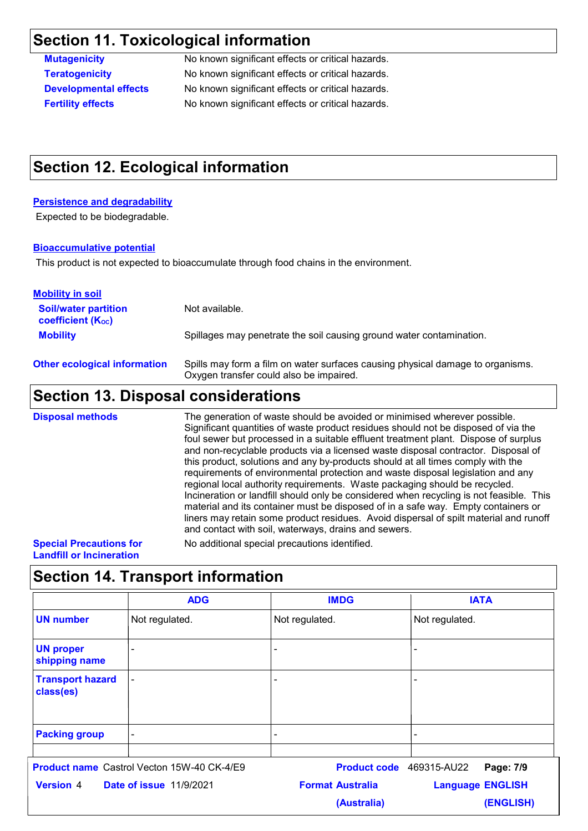## **Section 11. Toxicological information**

**Mutagenicity** No known significant effects or critical hazards. **Teratogenicity** No known significant effects or critical hazards. **Developmental effects** No known significant effects or critical hazards. **Fertility effects** No known significant effects or critical hazards.

### **Section 12. Ecological information**

#### **Persistence and degradability**

Expected to be biodegradable.

#### **Bioaccumulative potential**

This product is not expected to bioaccumulate through food chains in the environment.

| Cootian 12 Dianasal canaiderations                      |                                                                                                                           |
|---------------------------------------------------------|---------------------------------------------------------------------------------------------------------------------------|
| <b>Other ecological information</b>                     | Spills may form a film on water surfaces causing physical damage to organisms.<br>Oxygen transfer could also be impaired. |
| <b>Mobility</b>                                         | Spillages may penetrate the soil causing ground water contamination.                                                      |
| <b>Soil/water partition</b><br><b>coefficient (Koc)</b> | Not available.                                                                                                            |
| <b>Mobility in soil</b>                                 |                                                                                                                           |

### **Section 13. Disposal considerations**

The generation of waste should be avoided or minimised wherever possible. Significant quantities of waste product residues should not be disposed of via the foul sewer but processed in a suitable effluent treatment plant. Dispose of surplus and non-recyclable products via a licensed waste disposal contractor. Disposal of this product, solutions and any by-products should at all times comply with the requirements of environmental protection and waste disposal legislation and any regional local authority requirements. Waste packaging should be recycled. Incineration or landfill should only be considered when recycling is not feasible. This material and its container must be disposed of in a safe way. Empty containers or liners may retain some product residues. Avoid dispersal of spilt material and runoff and contact with soil, waterways, drains and sewers. **Disposal methods Special Precautions for Landfill or Incineration** No additional special precautions identified.

### **Section 14. Transport information**

|                                                    | <b>ADG</b>                                 | <b>IMDG</b>              | <b>IATA</b>             |  |
|----------------------------------------------------|--------------------------------------------|--------------------------|-------------------------|--|
| <b>UN number</b>                                   | Not regulated.                             | Not regulated.           | Not regulated.          |  |
| <b>UN proper</b><br>shipping name                  |                                            |                          |                         |  |
| <b>Transport hazard</b><br>class(es)               |                                            | $\overline{\phantom{0}}$ | $\overline{a}$          |  |
| <b>Packing group</b>                               |                                            |                          | $\blacksquare$          |  |
|                                                    | Product name Castrol Vecton 15W-40 CK-4/E9 | Product code 469315-AU22 | Page: 7/9               |  |
| <b>Version 4</b><br><b>Date of issue 11/9/2021</b> |                                            | <b>Format Australia</b>  | <b>Language ENGLISH</b> |  |
|                                                    |                                            | (Australia)              | (ENGLISH)               |  |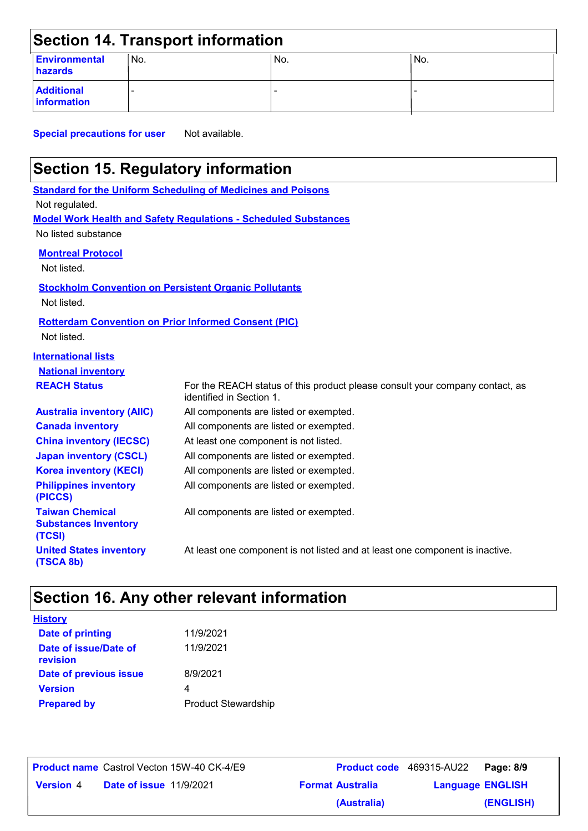| <b>Section 14. Transport information</b> |      |     |     |  |  |  |
|------------------------------------------|------|-----|-----|--|--|--|
| <b>Environmental</b><br>hazards          | 'No. | No. | No. |  |  |  |
| <b>Additional</b><br>information         |      |     |     |  |  |  |

**Special precautions for user** Not available.

# **Section 15. Regulatory information**

**Standard for the Uniform Scheduling of Medicines and Poisons Model Work Health and Safety Regulations - Scheduled Substances** No listed substance Not regulated. **International lists National inventory REACH Status Canada inventory** All components are listed or exempted. **Australia inventory (AIIC)** All components are listed or exempted. **China inventory (IECSC)** At least one component is not listed. **Japan inventory (CSCL)** All components are listed or exempted. **Korea inventory (KECI)** All components are listed or exempted. **Philippines inventory (PICCS)** All components are listed or exempted. For the REACH status of this product please consult your company contact, as identified in Section 1. **Taiwan Chemical Substances Inventory (TCSI)** All components are listed or exempted. **United States inventory (TSCA 8b)** At least one component is not listed and at least one component is inactive. **Montreal Protocol** Not listed. **Stockholm Convention on Persistent Organic Pollutants** Not listed. **Rotterdam Convention on Prior Informed Consent (PIC)** Not listed.

### **Section 16. Any other relevant information**

| <u>History</u>                    |                            |
|-----------------------------------|----------------------------|
| <b>Date of printing</b>           | 11/9/2021                  |
| Date of issue/Date of<br>revision | 11/9/2021                  |
| Date of previous issue            | 8/9/2021                   |
| <b>Version</b>                    | 4                          |
| <b>Prepared by</b>                | <b>Product Stewardship</b> |

|                  |                                | <b>Product name</b> Castrol Vecton 15W-40 CK-4/E9 | <b>Product code</b> 469315-AU22 |                         | Page: 8/9 |  |
|------------------|--------------------------------|---------------------------------------------------|---------------------------------|-------------------------|-----------|--|
| <b>Version</b> 4 | <b>Date of issue 11/9/2021</b> |                                                   | <b>Format Australia</b>         | <b>Language ENGLISH</b> |           |  |

Castrol Vecton 15W-40 CK-4/E9 **Page: 8/9 Product code** 469315-AU22 **(ENGLISH) (Australia)**